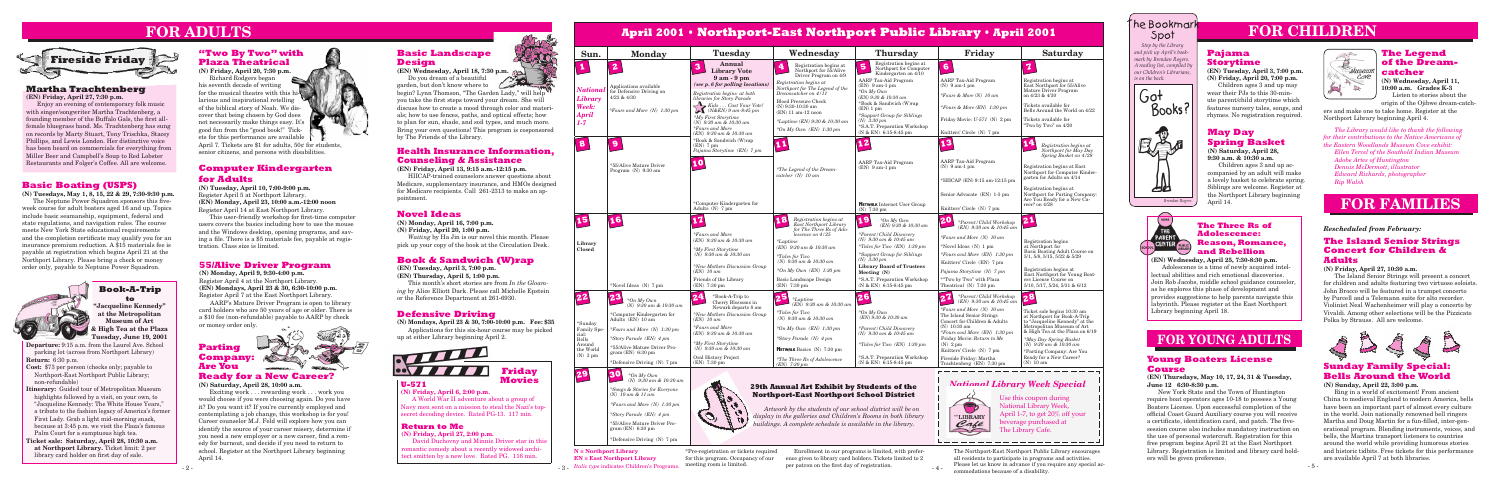

# **FOR CHILDREN**

# The Bookmark Spot



*Brendan Rogers*

Enrollment in our programs is limited, with preference given to library card holders. Tickets limited to 2 per patron on the first day of registration.

**N = Northport Library EN = East Northport Library**

- 3 - *Italic type* indicates Children's Programs. meeting room is limited.

\*Pre-registration or tickets required for this program. Occupancy of our

The Northport-East Northport Public Library encourages all residents to participate in programs and activities. Please let us know in advance if you require any special accommodations because of a disability.

- 4 -

## **Novel Ideas**

# **Book & Sandwich (W)rap**

# **Defensive Driving**



# **Health Insurance Information, Counseling & Assistance**

### **The Three Rs of Adolescence: Reason, Romance, and Rebellion**

**Departure:** 9:15 a.m. from the Laurel Ave. School parking lot (across from Northport Library) **Return:** 6:30 p.m.

- **Cost:** \$73 per person (checks only; payable to Northport-East Northport Public Library; non-refundable)
- **Itinerary:** Guided tour of Metropolitan Museum highlights followed by a visit, on your own, to "Jacqueline Kennedy: The White House Years," a tribute to the fashion legacy of America's former First Lady. Grab a light mid-morning snack, because at 3:45 p.m. we visit the Plaza's famous Palm Court for a sumptuous high tea.
- **Ticket sale: Saturday, April 28, 10:30 a.m. at Northport Library.** Ticket limit: 2 per library card holder on first day of sale.

# **Book-A-Trip to**

#### **U-571 (N) Friday, April 6, 2:00 p.m.**



### **Return to Me**

**(N) Friday, April 27, 2:00 p.m.** David Duchovny and Minnie Driver star in this romantic comedy about a recently widowed architect smitten by a new love. Rated PG. 116 min.

# **"Two By Two" with Plaza Theatrical**

# **Basic Boating (USPS)**

**(N) Tuesdays, May 1, 8, 15, 22 & 29, 7:30-9:30 p.m.** The Neptune Power Squadron sponsors this fiveweek course for adult boaters aged 16 and up. Topics include basic seamanship, equipment, federal and state regulations, and navigation rules. The course meets New York State educational requirements and the completion certificate may qualify you for an insurance premium reduction. A \$15 materials fee is payable at registration which begins April 21 at the Northport Library. Please bring a check or money order only, payable to Neptune Power Squadron.



# **Computer Kindergarten for Adults**

> **(EN) Wednesday, April 25, 7:30-8:30 p.m.** Adolescence is a time of newly acquired intellectual abilities and rich emotional discoveries. Join Rob Jacobs, middle school guidance counselor, as he explores this phase of development and provides suggestions to help parents navigate this labyrinth. Please register at the East Northport

**at the Metropolitan Museum of Art & High Tea at the Plaza Tuesday, June 19, 2001**



### **Martha Trachtenberg**

**(EN) Friday, April 27, 7:30 p.m.**

Enjoy an evening of contemporary folk music with singer/songwriter Martha Trachtenberg, a founding member of the Buffalo Gals, the first allfemale bluegrass band. Ms. Trachtenberg has sung on records by Marty Stuart, Tony Trischka, Stacey Phillips, and Lewis London. Her distinctive voice has been heard on commercials for everything from Miller Beer and Campbell's Soup to Red Lobster Restaurants and Folger's Coffee. All are welcome.

# **FOR ADULTS**

| <b>FOR ADULTS</b>                                             |                                                                                                                    |                                                                                                                 | <b>April 2001 • Northport-East Northport Public Library • April 2001</b> |                                                                       |                                                           |                                                                                                                             |                                                                            | <b>NE BOOKMAIK</b><br>Spot                                                                                                                                           |                                                                     |                                                                                                          |
|---------------------------------------------------------------|--------------------------------------------------------------------------------------------------------------------|-----------------------------------------------------------------------------------------------------------------|--------------------------------------------------------------------------|-----------------------------------------------------------------------|-----------------------------------------------------------|-----------------------------------------------------------------------------------------------------------------------------|----------------------------------------------------------------------------|----------------------------------------------------------------------------------------------------------------------------------------------------------------------|---------------------------------------------------------------------|----------------------------------------------------------------------------------------------------------|
|                                                               | "Two By Two" with                                                                                                  | Maria d<br><b>Basic Landscape</b>                                                                               | Sun.                                                                     | <b>Monday</b>                                                         | Tuesday                                                   | Wednesday                                                                                                                   | Thursday                                                                   | Friday                                                                                                                                                               | <b>Saturday</b>                                                     | Stop by the Library<br>Paja<br>and pick up April's book-                                                 |
| e Friday                                                      | <b>Plaza Theatrical</b><br>(N) Friday, April 20, 7:30 p.m.                                                         | <b>Design</b><br>(EN) Wednesday, April 18, 7:30 p.m.                                                            | J.                                                                       |                                                                       | Annual<br><b>Library Vote</b>                             | Registration begins at<br>Northport for 55/Alive                                                                            | Registration begins at<br>Northport for Computer<br>Kindergarten on $4/10$ |                                                                                                                                                                      |                                                                     | mark by Brendan Rogers.<br>Stor<br>A reading list, compiled by<br>$(EN)$ T<br>our Children's Librarians, |
|                                                               | Richard Rodgers began<br>his seventh decade of writing                                                             | Do you dream of a beautiful<br>garden, but don't know where to                                                  |                                                                          |                                                                       | $9am - 9pm$<br>(see p. 6 for polling locations)           | Driver Program on 4/9<br>Registration begins at                                                                             | AARP Tax-Aid Program<br>$EN)$ 9 am-1 pm                                    | AARP Tax-Aid Program<br>$(N)$ 9 am-1 pm                                                                                                                              | Registration begins at<br>East Northport for 55/Alive               | $(N)$ Fri<br>is on the back.                                                                             |
| htenberg<br>$7:30$ p.m.                                       | for the musical theatre with this hi-                                                                              | begin? Lynn Thomson, "The Garden Lady," will help"                                                              | <b>Nation</b><br>Library                                                 | Applications available<br>for Defensive Driving on<br>$4/23$ & $4/30$ | Registration begins at both<br>libraries for Story Parade | Northport for The Legend of the<br>Dreamcatcher on 4/11                                                                     | $*On My Own$<br>(EN) 9:30 & 10:30 am                                       | *Fours & More (N) $10$ am                                                                                                                                            | Mature Driver Program<br>on 4/23 & 4/30                             | wear th<br>სot                                                                                           |
| contemporary folk music                                       | larious and inspirational retelling<br>of the biblical story of Noah. We dis-                                      | you take the first steps toward your dream. She will<br>discuss how to create a mood through color and materi-  | Week:                                                                    |                                                                       | $\sum$ Kids  Cast Your Vote!                              | <b>Blood Pressure Check</b><br>(N) 9:30-10:30 am                                                                            | *Book & Sandwich (W)rap<br>(EN) 1 pm                                       | *Fours & More (EN) $1:30$ pm                                                                                                                                         | Tickets available for                                               | ute par<br>Books?<br>feature                                                                             |
| Martha Trachtenberg, a<br>Buffalo Gals, the first all-        | cover that being chosen by God does                                                                                | als; how to use fences, paths, and optical effects; how                                                         | <b>April</b>                                                             | <i>*Fours and More (N)</i> 1:30 $pm$                                  | $N\&EN$ ) 9 am-8:45 pm<br>*My First Storytime             | (EN) 11 am-12 noon                                                                                                          | *Support Group for Siblings<br>$(N)$ 3:30 pm                               | Friday Movie: U-571 (N) 2 pm                                                                                                                                         | Bells Around the World on 4/22<br>Tickets available for             | rhymes                                                                                                   |
| Ms. Trachtenberg has sung                                     | not necessarily make things easy. It's<br>good fun from the "good book!" Tick-                                     | to plan for sun, shade, and soil types, and much more.<br>Bring your own questions! This program is cosponsored | $1-7$                                                                    |                                                                       | $(N)$ 9:30 am & 10:30 am<br>$*Fours$ and More             | *Laptime (EN) 9:30 & 10:30 am<br>*On My Own $(EN)$ 1:30 pm                                                                  | *S.A.T. Preparation Workshop                                               |                                                                                                                                                                      | "Two by Two" on 4/20                                                |                                                                                                          |
| art, Tony Trischka, Stacey<br>don. Her distinctive voice      | ets for this performance are available                                                                             | by The Friends of the Library.                                                                                  |                                                                          |                                                                       | (EN) 9:30 am & 10:30 am<br>*Book & Sandwich (W)rap        |                                                                                                                             | $(N & E N)$ 6:15-8:45 pm                                                   | Knitters' Circle (N) 7 pm                                                                                                                                            |                                                                     | $-19$<br>May                                                                                             |
| nercials for everything from                                  | April 7. Tickets are \$1 for adults, $50¢$ for students,<br>senior citizens, and persons with disabilities.        | <b>Health Insurance Information.</b>                                                                            | $\mathbf{8}$                                                             |                                                                       | $(EN)$ 7 pm<br>Pajama Storytime (EN) 7 pm                 |                                                                                                                             |                                                                            |                                                                                                                                                                      | Registration begins at<br>Northport for May Day                     | 医学<br>Spri<br>$(N)$ Sat                                                                                  |
| ell's Soup to Red Lobster<br>'s Coffee. All are welcome.      |                                                                                                                    | <b>Counseling &amp; Assistance</b>                                                                              |                                                                          |                                                                       |                                                           |                                                                                                                             | <b>AARP</b> Tax-Aid Program                                                | <b>AARP</b> Tax-Aid Program                                                                                                                                          | Spring Basket on 4/28                                               | 9:30a.1                                                                                                  |
|                                                               | <b>Computer Kindergarten</b>                                                                                       | (EN) Friday, April 13, 9:15 a.m.-12:15 p.m.                                                                     |                                                                          | *55/Alive Mature Driver<br>Program $(N)$ 9:30 am                      |                                                           | <i>*The Legend of the Dream-</i>                                                                                            | $(EN)$ 9 am-1 pm                                                           | $(N)$ 9 am-1 pm                                                                                                                                                      | Registration begins at East<br>Northport for Computer Kinder-       | compar                                                                                                   |
|                                                               | for <b>Adults</b>                                                                                                  | HIICAP-trained counselors answer questions about<br>Medicare, supplementary insurance, and HMOs designed        |                                                                          |                                                                       |                                                           | $catcher(N)$ 10 am                                                                                                          |                                                                            | *HIICAP (EN) 9:15 am-12:15 pm                                                                                                                                        | garten for Adults on 4/14                                           | a lovely                                                                                                 |
| g (USPS)<br>15, 22 & 29, 7:30-9:30 p.m.                       | (N) Tuesday, April 10, 7:00-9:00 p.m.<br>Register April 5 at Northport Library.                                    | for Medicare recipients. Call 261-2313 to make an ap-                                                           |                                                                          |                                                                       |                                                           |                                                                                                                             |                                                                            | Senior Advocate (EN) 1-3 pm                                                                                                                                          | Registration begins at<br>Northport for Parting Company:            | 丛<br>Sibling<br>the Nor                                                                                  |
| Squadron sponsors this five-                                  | (EN) Monday, April 23, 10:00 a.m.-12:00 noon                                                                       | pointment.                                                                                                      |                                                                          |                                                                       | *Computer Kindergarten for                                |                                                                                                                             | <b>NETWALK</b> Internet User Group                                         |                                                                                                                                                                      | Are You Ready for a New Ca-<br>reer? on 4/28                        | Brendan Rogers<br>April 14                                                                               |
| ters aged 16 and up. Topics<br>, equipment, federal and       | Register April 14 at East Northport Library.<br>This user-friendly workshop for first-time computer                | <b>Novel Ideas</b>                                                                                              |                                                                          |                                                                       | Adults $(N)$ 7 pm                                         | Registration begins at                                                                                                      | $(N)$ 7:30 pm                                                              | Knitters' Circle (N) 7 pm                                                                                                                                            |                                                                     |                                                                                                          |
| vigation rules. The course<br>ucational requirements          | users covers the basics including how to use the mouse                                                             | (N) Monday, April 16, 7:00 p.m.<br>(N) Friday, April 20, 1:00 p.m.                                              | 15                                                                       |                                                                       |                                                           | East Northport Library<br>for The Three Rs of Ado-                                                                          | $*$ On My Own<br>$(EN)$ 9:30 & 10:30 am                                    | *Parent/Child Workshop<br>(EN) 9:30 am & 10:45 am                                                                                                                    |                                                                     | HOM<br><b>The Th</b>                                                                                     |
| icate may qualify you for an                                  | and the Windows desktop, opening programs, and sav-<br>ing a file. There is a \$5 materials fee, payable at regis- | <i>Waiting</i> by Ha Jin is our novel this month. Please                                                        |                                                                          |                                                                       | <i>*Fours and More</i><br>(EN) 9:30 am & 10:30 am         | lescence on 4/25                                                                                                            | *Parent / Child Discovery<br>(N) 9:30 am & 10:45 am                        | <i>*Fours and More (N)</i> 10 am                                                                                                                                     | Registration begins                                                 | <b>Adoles</b><br>PAREN1                                                                                  |
| ction. A \$15 materials fee is<br>hich begins April 21 at the | tration. Class size is limited.                                                                                    | pick up your copy of the book at the Circulation Desk.                                                          | Library<br>Closed                                                        |                                                                       | *My First Storytime                                       | $\begin{cases} \text{*Laptime} \\ \text{(EN)} \text{ } 9.30 \text{ } am \text{ } \& \text{ } 10.30 \text{ } am \end{cases}$ | *Tales for Two $(EN)$ 1:30 pm                                              | *Novel Ideas (N) 1 pm                                                                                                                                                | at Northport for<br>Basic Boating Adult Course on                   | <b>Reaso</b><br>CENTER FUBLIC<br>and Re                                                                  |
| e bring a check or money                                      |                                                                                                                    | <b>Book &amp; Sandwich (W)rap</b>                                                                               |                                                                          |                                                                       | $(N)$ 9:30 am & 10:30 am                                  | <i>*Tales for Two</i><br>(N) $9.30$ am & 10:30 am                                                                           | *Support Group for Siblings<br>$(N)$ 3:30 pm                               | *Fours and More $(EN)$ 1:30 pm<br>Knitters' Circle (EN) 7 pm                                                                                                         | 5/1, 5/8, 5/15, 5/22 & 5/29                                         | (EN) Wednesday, April 2                                                                                  |
| ptune Power Squadron.                                         | <b>55/Alive Driver Program</b><br>(N) Monday, April 9, 9:30-4:00 p.m.                                              | (EN) Tuesday, April 3, 7:00 p.m.                                                                                |                                                                          |                                                                       | New Mothers Discussion Group*<br>$(EN)$ 10 am             | *On My Own $(EN)$ 1:30 pm                                                                                                   | <b>Library Board of Trustees</b><br>Meeting $(N)$                          | Pajama Storytime (N) 7 pm                                                                                                                                            | Registration begins at<br>East Northport for Young Boat-            | Adolescence is a time of<br>lectual abilities and rich en                                                |
|                                                               | Register April 4 at the Northport Library.                                                                         | (EN) Thursday, April 5, 1:00 p.m.<br>This month's short stories are from In the Gloam-                          |                                                                          | *Novel Ideas $(N)$ 7 pm                                               | Friends of the Library<br>(EN) 7:30 pm                    | Basic Landscape Design<br>(EN) 7:30 pm                                                                                      | *S.A.T. Preparation Workshop<br>(N & EN) 6:15-8:45 pm                      | *"Two by Two" with Plaza<br>Theatrical (N) 7:30 pm                                                                                                                   | ers License Course on<br>$5/10$ , $5/17$ , $5/24$ , $5/31$ & $6/12$ | Join Rob Jacobs, middle scl                                                                              |
| <b>Book-A-Trip</b>                                            | (EN) Mondays, April 23 & 30, 6:30-10:00 p.m.<br>Register April 7 at the East Northport Library.                    | ing by Alice Elliott Dark. Please call Michelle Epstein                                                         | 22                                                                       | 23                                                                    | 24<br>*Book-A-Trip to                                     |                                                                                                                             |                                                                            |                                                                                                                                                                      |                                                                     | as he explores this phase of                                                                             |
| "Jacqueline Kennedy"                                          | AARP's Mature Driver Program is open to library                                                                    | or the Reference Department at 261-6930.                                                                        |                                                                          | *On My Own<br>(N) $9:30$ am & 10:30 am                                | Cherry Blossoms in<br>Newark departs 8 am                 | <b>25</b> $*$ <i>Laptime</i><br><i>(EN)</i> 9:30 am & 10:30 am                                                              |                                                                            | $\begin{array}{ c c } \hline \textbf{27} & \textit{*Parent/Child Workshop} \hline \textit{(EN)} & \textit{9.30 am & 10.45 am} \hline \end{array} \hline \textbf{28}$ |                                                                     | provides suggestions to help<br>labyrinth. Please register a                                             |
| at the Metropolitan                                           | card holders who are 50 years of age or older. There is<br>a \$10 fee (non-refundable) payable to AARP by check    | <b>Defensive Driving</b>                                                                                        |                                                                          | Computer Kindergarten for                                             | <i>*New Mothers Discussion Group</i>                      | $*Tales$ for Two<br>$(N)$ 9:30 am & 10:30 am                                                                                | $*On$ My Own<br>$(EN)$ 9:30 & 10:30 am                                     | *Fours and More (N) $10 \text{ am}$<br>The Island Senior Strings                                                                                                     | Ticket sale begins 10:30 am<br>at Northport for Book-A-Trip         | Library beginning April 18.                                                                              |
| <b>Museum of Art</b><br>k High Tea at the Plaza               | or money order only.                                                                                               | (N) Mondays, April 23 & 30, 7:00-10:00 p.m. Fee: \$35<br>Applications for this six-hour course may be picked    | *Sunday<br>Family Spe                                                    | Adults (EN) 10 am<br>*Fours and More $(N)$ 1:30 pm                    | $(EN)$ 10 am<br><i>*Fours and More</i>                    | *On My Own $(EN)$ 1:30 pm                                                                                                   | *Parent/Child Discovery                                                    | Concert for Children & Adults<br>$(N)$ 10:30 am                                                                                                                      | to "Jacqueline Kennedy" at the<br>Metropolitan Museum of Art        |                                                                                                          |
| Tuesday, June 19, 2001                                        |                                                                                                                    | up at either Library beginning April 2.                                                                         | Bells                                                                    | *Story Parade (EN) 4 pm                                               | (EN) 9:30 am & 10:30 am                                   | *Story Parade (N) 4 pm                                                                                                      | $(N)$ 9:30 am & 10:45 am                                                   | *Fours and More (EN) 1:30 pm<br>Friday Movie: Return to Me                                                                                                           | & High Tea at the Plaza on 6/19<br>*May Day Spring Basket           | <b>FOR YOUN</b>                                                                                          |
| om the Laurel Ave. School<br>om Northport Library)            | $x = 8$<br>Parting                                                                                                 |                                                                                                                 | Around<br>the World                                                      | *55/Alive Mature Driver Pro-                                          | *My First Storytime<br>$(N)$ 9:30 am & 10:30 am           | <b>NETWALK</b> Basics $(N)$ 7:30 pm                                                                                         | <i>*Tales for Two (EN)</i> $1:30 \text{ pm}$                               | $(N)$ 2 pm<br>Knitters' Circle (N) 7 pm                                                                                                                              | (N) 9:30 am & 10:30 am<br>*Parting Company: Are You                 |                                                                                                          |
|                                                               | <b>Company:</b><br><b>Redistri</b>                                                                                 |                                                                                                                 | $(N)$ 3 pm                                                               | gram (EN) 6:30 pm<br>*Defensive Driving (N) 7 pm                      | Oral History Project<br>$(EN)$ 7:30 pm                    | *The Three Rs of Adolescence                                                                                                | *S.A.T. Preparation Workshop<br>$(N & EN)$ 6:15-8:45 pm                    | Fireside Fridav: Martha<br>Trachtenberg (EN) 7:30 pm                                                                                                                 | Ready for a New Career?<br>$(N)$ 10 am                              | <b>Young Boaters</b>                                                                                     |
| ecks only; payable to                                         | <b>Are You</b><br><b>William</b> P                                                                                 | <b>BV<i>TTTT</i></b><br><b>Friday</b>                                                                           |                                                                          |                                                                       |                                                           | $(EN)$ 7:30 pm                                                                                                              |                                                                            |                                                                                                                                                                      |                                                                     | <b>Course</b>                                                                                            |
| port Public Library;                                          | <b>Ready for a New Career?</b><br>(N) Saturday, April 28, 10:00 a.m.                                               | <b>Movies</b><br><b>U-571</b>                                                                                   | 29                                                                       | $*$ On My Own<br>$(N)$ 9:30 am & 10:30 am                             |                                                           |                                                                                                                             |                                                                            |                                                                                                                                                                      | <b>National Library Week Special</b>                                | (EN) Thursdays, May 10, 1<br>June 12 6:30-8:30 p.m.                                                      |
| of Metropolitan Museum                                        | Exciting work rewarding work work you                                                                              | (N) Friday, April 6, 2:00 p.m.                                                                                  |                                                                          | *Songs & Stories for Everyone<br>$(N)$ 10 am & 11 am                  |                                                           | 29th Annual Art Exhibit by Students of the<br><b>Northport-East Northport School District</b>                               |                                                                            |                                                                                                                                                                      |                                                                     | New York State and the                                                                                   |
| a visit, on your own, to<br>The White House Years,"           | would choose if you were choosing again. Do you have<br>it? Do you want it? If you're currently employed and       | A World War II adventure about a group of<br>Navy men sent on a mission to steal the Nazi's top-                |                                                                          | *Fours and More $(N)$ 1:30 pm                                         | $\overline{U}$                                            |                                                                                                                             |                                                                            |                                                                                                                                                                      | Use this coupon during<br>National Library Week,                    | require boat operators ages 1<br>Boaters License. Upon succe                                             |
| n legacy of America's former                                  | contemplating a job change, this workshop is for you!                                                              | secret decoding device. Rated PG-13. 117 min.                                                                   |                                                                          | *Story Parade (EN) 4 pm                                               | $\tilde{\mathcal{O}}$                                     | Artwork by the students of our school district will be on<br>display in the galleries and Children's Rooms in both library  |                                                                            | <b>MLIBRARY</b>                                                                                                                                                      | April 1-7, to get 20% off your                                      | official Coast Guard Auxilian                                                                            |
| ht mid-morning snack,<br>ve visit the Plaza's famous          | Career counselor M.J. Feld will explore how you can<br>identify the source of your career misery, determine if     | <b>Return to Me</b>                                                                                             |                                                                          | *55/Alive Mature Driver Pro-<br>gram (EN) 6:30 pm                     |                                                           | buildings. A complete schedule is available in the library.                                                                 |                                                                            | Café                                                                                                                                                                 | beverage purchased at                                               | a certificate, identification ca<br>session course also includes                                         |
| ptuous high tea.                                              | you need a new employer or a new career, find a rem-                                                               | (N) Friday, April 27, 2:00 p.m.                                                                                 |                                                                          | *Defensive Driving (N) 7 pm                                           |                                                           |                                                                                                                             |                                                                            |                                                                                                                                                                      | The Library Cafe.                                                   | the use of personal watercrat                                                                            |
| 7, April 28, 10:30 a.m.                                       | edy for burnout, and decide if you need to return to                                                               | David Duchovny and Minnie Driver star in this                                                                   |                                                                          |                                                                       |                                                           |                                                                                                                             |                                                                            |                                                                                                                                                                      |                                                                     | free program begins April 21                                                                             |

## **55/Alive Driver Program**

# **Basic Landscape Design**

# **Parting Company: Are You**



#### **Ready for a New Career? (N) Saturday, April 28, 10:00 a.m.**

Exciting work . . . rewarding work . . . work you would choose if you were choosing again. Do you have it? Do you want it? If you're currently employed and contemplating a job change, this workshop is for you! Career counselor M.J. Feld will explore how you can identify the source of your career misery, determine if you need a new employer or a new career, find a remedy for burnout, and decide if you need to return to school. Register at the Northport Library beginning April 14.

## **The Legend of the Dreamcatcher**

**(N) Wednesday, April 11, 10:00 a.m. Grades K-3** Listen to stories about the

origin of the Ojibwe dream-catch-

*The Library would like to thank the following for their contributions to the Native Americans of the Eastern Woodlands Museum Cove exhibit: Ellen Tercel of the Southold Indian Museum Adobe Artes of Huntington Dennis McDermott, illustrator Edward Richards, photographer Rip Walsh*

# **FOR YOUNG ADULTS**

## **Young Boaters License Course**

#### **(EN) Thursdays, May 10, 17, 24, 31 & Tuesday, June 12 6:30-8:30 p.m.**

New York State and the Town of Huntington require boat operators ages 10-18 to possess a Young Boaters License. Upon successful completion of the official Coast Guard Auxiliary course you will receive a certificate, identification card, and patch. The fivesession course also includes mandatory instruction on the use of personal watercraft. Registration for this free program begins April 21 at the East Northport Library. Registration is limited and library card holders will be given preference.



# **FOR FAMILIES**

# **Sunday Family Special: Bells Around the World**

## **(N) Sunday, April 22, 3:00 p.m.**

Ring in a world of excitement! From ancient China to medieval England to modern America, bells have been an important part of almost every culture in the world. Join nationally renowned bell ringers Martha and Doug Martin for a fun-filled, inter-generational program. Blending instruments, voices, and bells, the Martins transport listeners to countries around the world while providing humorous stories and historic tidbits. Free tickets for this performance are available April 7 at both libraries.

### **Pajama Storytime**

**(EN) Tuesday, April 3, 7:00 p.m. (N) Friday, April 20, 7:00 p.m.**

Children ages 3 and up may wear their PJs to this 30-minute parent/child storytime which features nursery tales, songs, and rhymes. No registration required.

### **May Day Spring Basket (N) Saturday, April 28,**

**9:30 a.m. & 10:30 a.m.**

Children ages 3 and up accompanied by an adult will make a lovely basket to celebrate spring. Siblings are welcome. Register at the Northport Library beginning April 14.



ers and make one to take home. Register at the Northport Library beginning April 4.

# **The Island Senior Strings Concert for Children & Adults**

#### **(N) Friday, April 27, 10:30 a.m.**

The Island Senior Strings will present a concert for children and adults featuring two virtuoso soloists. John Brocco will be featured in a trumpet concerto by Purcell and a Telemann suite for alto recorder. Violinist Neal Wachenheimer will play a concerto by Vivaldi. Among other selections will be the Pizzicato Polka by Strauss. All are welcome.



### *Rescheduled from February:*